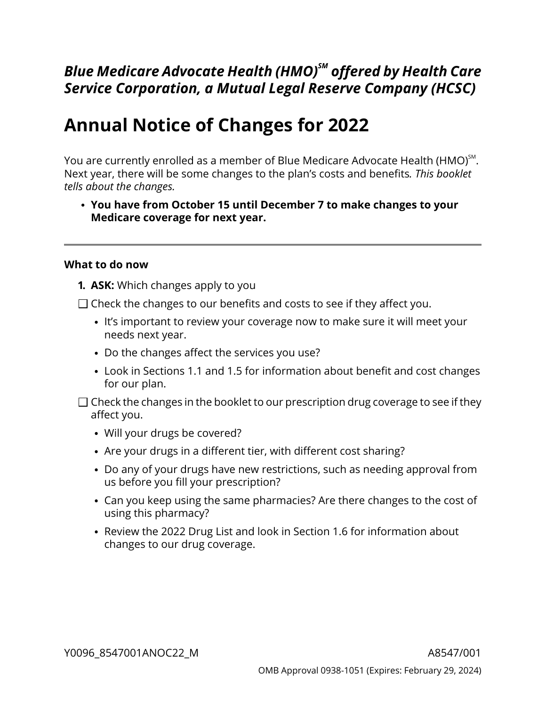# *Blue Medicare Advocate Health (HMO)SM offered by Health Care Service Corporation, a Mutual Legal Reserve Company (HCSC)*

# **Annual Notice of Changes for 2022**

You are currently enrolled as a member of Blue Medicare Advocate Health (HMO) $^{\mathsf{SM}}$ . Next year, there will be some changes to the plan's costs and benefits*. This booklet tells about the changes.*

**You have from October 15 until December 7 to make changes to your Medicare coverage for next year.**

### **What to do now**

- **1. ASK:** Which changes apply to you
- $\Box$  Check the changes to our benefits and costs to see if they affect you.
	- It's important to review your coverage now to make sure it will meet your needs next year.
	- Do the changes affect the services you use?
	- Look in Sections [1.1](#page-8-0) and [1.5](#page-10-0) for information about benefit and cost changes for our plan.
- $\Box$  Check the changes in the booklet to our prescription drug coverage to see if they affect you.
	- Will your drugs be covered?
	- Are your drugs in a different tier, with different cost sharing?
	- Do any of your drugs have new restrictions, such as needing approval from us before you fill your prescription?
	- Can you keep using the same pharmacies? Are there changes to the cost of using this pharmacy?
	- Review the 2022 Drug List and look in Section [1.6](#page-13-0) for information about changes to our drug coverage.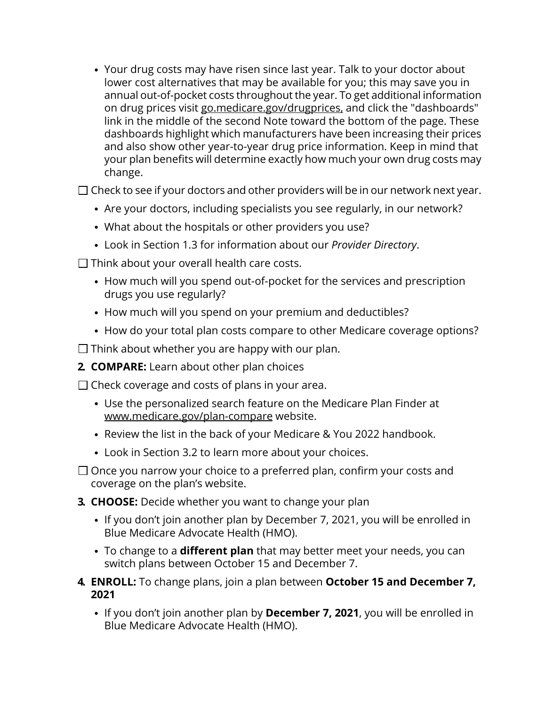Your drug costs may have risen since last year. Talk to your doctor about lower cost alternatives that may be available for you; this may save you in annual out-of-pocket costs throughout the year. To get additional information on drug prices visit [go.medicare.gov/drugprices,](https://go.medicare.gov/drugprices) and click the "dashboards" link in the middle of the second Note toward the bottom of the page. These dashboards highlight which manufacturers have been increasing their prices and also show other year-to-year drug price information. Keep in mind that your plan benefits will determine exactly how much your own drug costs may change.

 $\square$  Check to see if your doctors and other providers will be in our network next year.

- Are your doctors, including specialists you see regularly, in our network?
- What about the hospitals or other providers you use?
- Look in Section [1.3](#page-9-0) for information about our *Provider Directory*.
- $\Box$  Think about your overall health care costs.
	- How much will you spend out-of-pocket for the services and prescription drugs you use regularly?
	- How much will you spend on your premium and deductibles?
	- How do your total plan costs compare to other Medicare coverage options?

 $\Box$  Think about whether you are happy with our plan.

**2. COMPARE:** Learn about other plan choices

 $\Box$  Check coverage and costs of plans in your area.

- Use the personalized search feature on the Medicare Plan Finder at [www.medicare.gov/plan-compare](http://www.medicare.gov/plan-compare) website.
- Review the list in the back of your Medicare & You 2022 handbook.
- Look in Section [3.2](#page-17-0) to learn more about your choices.
- $\Box$  Once you narrow your choice to a preferred plan, confirm your costs and coverage on the plan's website.
- **3. CHOOSE:** Decide whether you want to change your plan
	- If you don't join another plan by December 7, 2021, you will be enrolled in Blue Medicare Advocate Health (HMO).
	- To change to a **different plan** that may better meet your needs, you can switch plans between October 15 and December 7.
- **4. ENROLL:** To change plans, join a plan between **October 15 and December 7, 2021**
	- If you don't join another plan by **December 7, 2021**, you will be enrolled in Blue Medicare Advocate Health (HMO).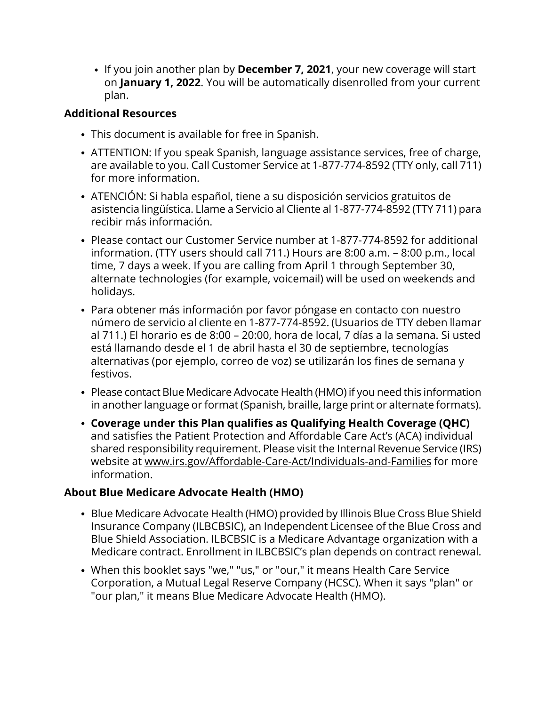If you join another plan by **December 7, 2021**, your new coverage will start on **January 1, 2022**. You will be automatically disenrolled from your current plan.

### **Additional Resources**

- This document is available for free in Spanish.
- ATTENTION: If you speak Spanish, language assistance services, free of charge, are available to you. Call Customer Service at 1-877-774-8592 (TTY only, call 711) for more information.
- ATENCIÓN: Si habla español, tiene a su disposición servicios gratuitos de asistencia lingüística. Llame a Servicio al Cliente al 1-877-774-8592 (TTY 711) para recibir más información.
- Please contact our Customer Service number at 1-877-774-8592 for additional information. (TTY users should call 711.) Hours are 8:00 a.m. – 8:00 p.m., local time, 7 days a week. If you are calling from April 1 through September 30, alternate technologies (for example, voicemail) will be used on weekends and holidays.
- Para obtener más información por favor póngase en contacto con nuestro número de servicio al cliente en 1-877-774-8592. (Usuarios de TTY deben llamar al 711.) El horario es de 8:00 – 20:00, hora de local, 7 días a la semana. Si usted está llamando desde el 1 de abril hasta el 30 de septiembre, tecnologías alternativas (por ejemplo, correo de voz) se utilizarán los fines de semana y festivos.
- Please contact Blue Medicare Advocate Health (HMO) if you need this information in another language or format (Spanish, braille, large print or alternate formats).
- **Coverage under this Plan qualifies as Qualifying Health Coverage (QHC)** and satisfies the Patient Protection and Affordable Care Act's (ACA) individual shared responsibility requirement. Please visit the Internal Revenue Service (IRS) website at [www.irs.gov/Affordable-Care-Act/Individuals-and-Families](http://www.irs.gov/Affordable-Care-Act/Individuals-and-Families) for more information.

### **About Blue Medicare Advocate Health (HMO)**

- Blue Medicare Advocate Health (HMO) provided by Illinois Blue Cross Blue Shield Insurance Company (ILBCBSIC), an Independent Licensee of the Blue Cross and Blue Shield Association. ILBCBSIC is a Medicare Advantage organization with a Medicare contract. Enrollment in ILBCBSIC's plan depends on contract renewal.
- When this booklet says "we," "us," or "our," it means Health Care Service Corporation, a Mutual Legal Reserve Company (HCSC). When it says "plan" or "our plan," it means Blue Medicare Advocate Health (HMO).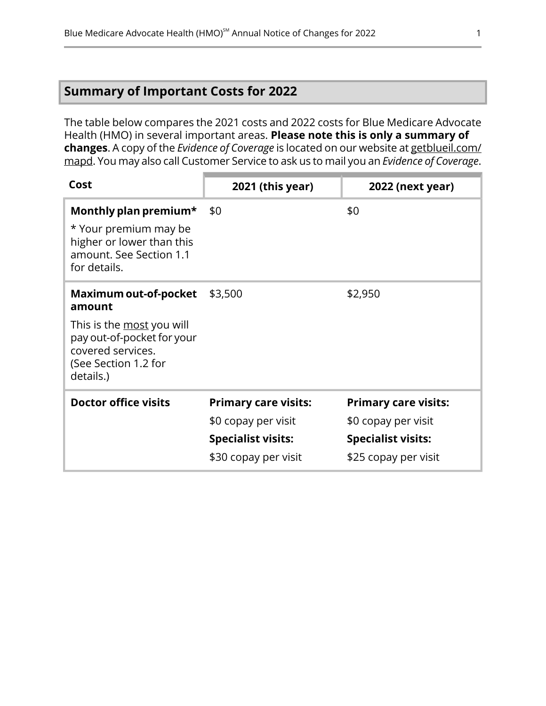# <span id="page-3-0"></span>**Summary of Important Costs for 2022**

The table below compares the 2021 costs and 2022 costs for Blue Medicare Advocate Health (HMO) in several important areas. **Please note this is only a summary of changes**. A copy of the *Evidence of Coverage* is located on our website at [getblueil.com/](https://www.bcbsil.com/medicare/blue-cross-medicare-options/mapd) [mapd](https://www.bcbsil.com/medicare/blue-cross-medicare-options/mapd). You may also call Customer Service to ask us to mail you an *Evidence of Coverage*.

| Cost                                                                                                                                                 | 2021 (this year)                                                                                        | 2022 (next year)                                                                                        |
|------------------------------------------------------------------------------------------------------------------------------------------------------|---------------------------------------------------------------------------------------------------------|---------------------------------------------------------------------------------------------------------|
| Monthly plan premium*<br>* Your premium may be<br>higher or lower than this<br>amount. See Section 1.1<br>for details.                               | \$0                                                                                                     | \$0                                                                                                     |
| Maximum out-of-pocket<br>amount<br>This is the most you will<br>pay out-of-pocket for your<br>covered services.<br>(See Section 1.2 for<br>details.) | \$3,500                                                                                                 | \$2,950                                                                                                 |
| <b>Doctor office visits</b>                                                                                                                          | <b>Primary care visits:</b><br>\$0 copay per visit<br><b>Specialist visits:</b><br>\$30 copay per visit | <b>Primary care visits:</b><br>\$0 copay per visit<br><b>Specialist visits:</b><br>\$25 copay per visit |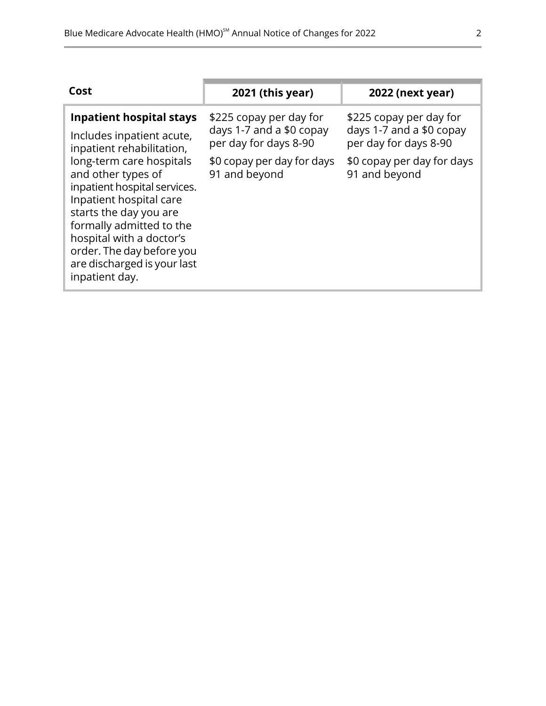| Cost                                                                                                                                                                                                                                                                      | 2021 (this year)                                                             | <b>2022 (next year)</b>                                                      |
|---------------------------------------------------------------------------------------------------------------------------------------------------------------------------------------------------------------------------------------------------------------------------|------------------------------------------------------------------------------|------------------------------------------------------------------------------|
| <b>Inpatient hospital stays</b><br>Includes inpatient acute,<br>inpatient rehabilitation,                                                                                                                                                                                 | \$225 copay per day for<br>days 1-7 and a \$0 copay<br>per day for days 8-90 | \$225 copay per day for<br>days 1-7 and a \$0 copay<br>per day for days 8-90 |
| long-term care hospitals<br>and other types of<br>inpatient hospital services.<br>Inpatient hospital care<br>starts the day you are<br>formally admitted to the<br>hospital with a doctor's<br>order. The day before you<br>are discharged is your last<br>inpatient day. | \$0 copay per day for days<br>91 and beyond                                  | \$0 copay per day for days<br>91 and beyond                                  |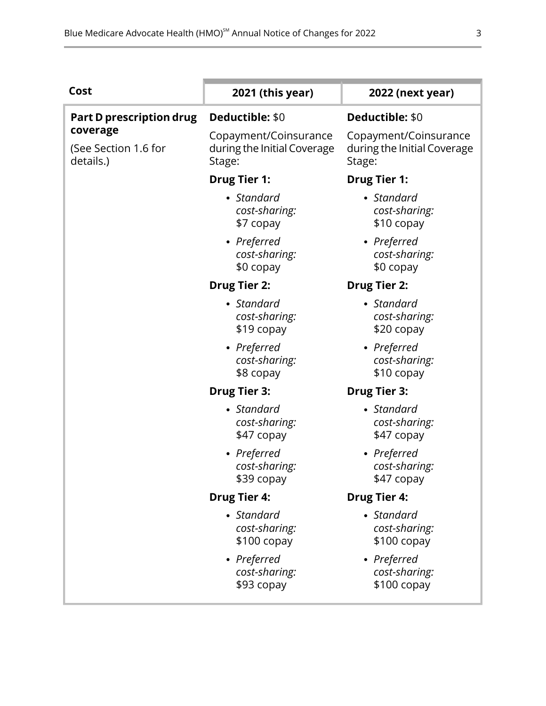| Cost                                          | 2021 (this year)                                               | 2022 (next year)                                               |
|-----------------------------------------------|----------------------------------------------------------------|----------------------------------------------------------------|
| Part D prescription drug                      | Deductible: \$0                                                | Deductible: \$0                                                |
| coverage<br>(See Section 1.6 for<br>details.) | Copayment/Coinsurance<br>during the Initial Coverage<br>Stage: | Copayment/Coinsurance<br>during the Initial Coverage<br>Stage: |
|                                               | <b>Drug Tier 1:</b>                                            | <b>Drug Tier 1:</b>                                            |
|                                               | • Standard<br>cost-sharing:<br>\$7 copay                       | • Standard<br>cost-sharing:<br>\$10 copay                      |
|                                               | • Preferred<br>cost-sharing:<br>\$0 copay                      | • Preferred<br>cost-sharing:<br>\$0 copay                      |
|                                               | <b>Drug Tier 2:</b>                                            | <b>Drug Tier 2:</b>                                            |
|                                               | • Standard<br>cost-sharing:<br>\$19 copay                      | • Standard<br>cost-sharing:<br>\$20 copay                      |
|                                               | • Preferred<br>cost-sharing:<br>\$8 copay                      | • Preferred<br>cost-sharing:<br>\$10 copay                     |
|                                               | <b>Drug Tier 3:</b>                                            | <b>Drug Tier 3:</b>                                            |
|                                               | • Standard<br>cost-sharing:<br>\$47 copay                      | • Standard<br>cost-sharing:<br>\$47 copay                      |
|                                               | • Preferred<br>cost-sharing:<br>\$39 copay                     | • Preferred<br>cost-sharing:<br>\$47 copay                     |
|                                               | <b>Drug Tier 4:</b>                                            | <b>Drug Tier 4:</b>                                            |
|                                               | • Standard<br>cost-sharing:<br>$$100$ copay                    | • Standard<br>cost-sharing:<br>$$100$ copay                    |
|                                               | • Preferred<br>cost-sharing:<br>\$93 copay                     | • Preferred<br>cost-sharing:<br>$$100$ copay                   |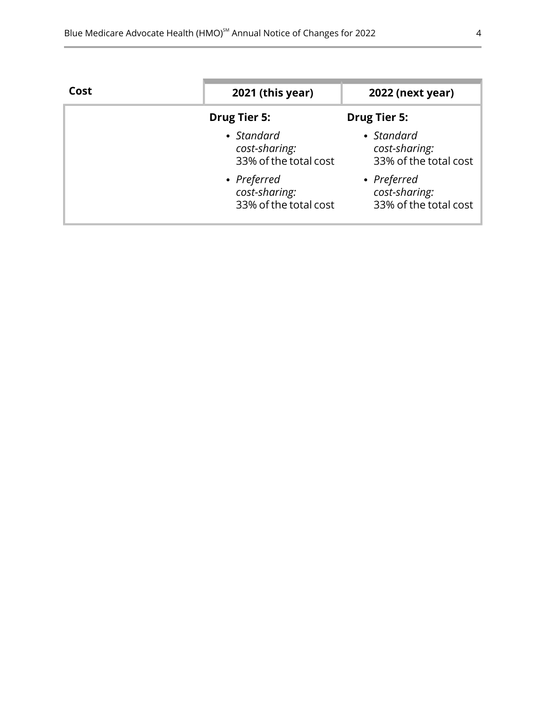| Cost | 2021 (this year)                                      | 2022 (next year)                                      |
|------|-------------------------------------------------------|-------------------------------------------------------|
|      | <b>Drug Tier 5:</b>                                   | <b>Drug Tier 5:</b>                                   |
|      | • Standard<br>cost-sharing:<br>33% of the total cost  | • Standard<br>cost-sharing:<br>33% of the total cost  |
|      | • Preferred<br>cost-sharing:<br>33% of the total cost | • Preferred<br>cost-sharing:<br>33% of the total cost |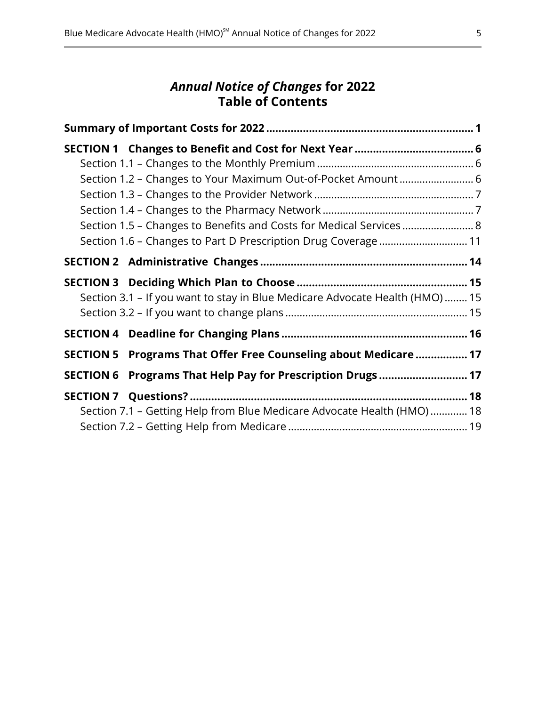### *Annual Notice of Changes* **for 2022 Table of Contents**

| Section 1.2 - Changes to Your Maximum Out-of-Pocket Amount  6                |  |
|------------------------------------------------------------------------------|--|
|                                                                              |  |
|                                                                              |  |
| Section 1.5 - Changes to Benefits and Costs for Medical Services  8          |  |
| Section 1.6 - Changes to Part D Prescription Drug Coverage  11               |  |
|                                                                              |  |
|                                                                              |  |
| Section 3.1 - If you want to stay in Blue Medicare Advocate Health (HMO)  15 |  |
|                                                                              |  |
|                                                                              |  |
| SECTION 5 Programs That Offer Free Counseling about Medicare  17             |  |
| SECTION 6 Programs That Help Pay for Prescription Drugs 17                   |  |
|                                                                              |  |
| Section 7.1 - Getting Help from Blue Medicare Advocate Health (HMO) 18       |  |
|                                                                              |  |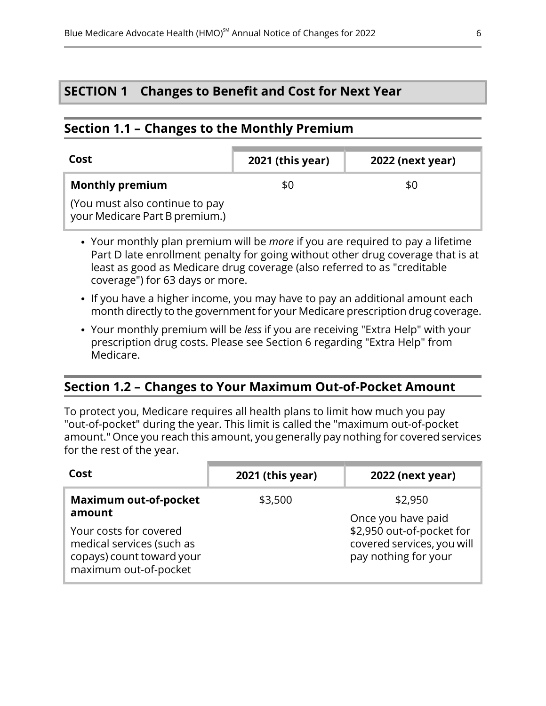### <span id="page-8-2"></span>**SECTION 1 Changes to Benefit and Cost for Next Year**

### <span id="page-8-0"></span>**Section 1.1 – Changes to the Monthly Premium**

l

| Cost                                                             | 2021 (this year) | <b>2022 (next year)</b> |
|------------------------------------------------------------------|------------------|-------------------------|
| <b>Monthly premium</b>                                           | \$0              | \$0                     |
| (You must also continue to pay<br>your Medicare Part B premium.) |                  |                         |

- Your monthly plan premium will be *more* if you are required to pay a lifetime Part D late enrollment penalty for going without other drug coverage that is at least as good as Medicare drug coverage (also referred to as "creditable coverage") for 63 days or more.
- If you have a higher income, you may have to pay an additional amount each month directly to the government for your Medicare prescription drug coverage.
- <span id="page-8-1"></span>Your monthly premium will be *less* if you are receiving "Extra Help" with your prescription drug costs. Please see Section [6](#page-19-1) regarding "Extra Help" from Medicare.

### **Section 1.2 – Changes to Your Maximum Out-of-Pocket Amount**

To protect you, Medicare requires all health plans to limit how much you pay "out-of-pocket" during the year. This limit is called the "maximum out-of-pocket amount." Once you reach this amount, you generally pay nothing for covered services for the rest of the year.

| Cost                                                                                                      | 2021 (this year) | <b>2022 (next year)</b>                                                         |
|-----------------------------------------------------------------------------------------------------------|------------------|---------------------------------------------------------------------------------|
| <b>Maximum out-of-pocket</b><br>amount                                                                    | \$3,500          | \$2,950<br>Once you have paid                                                   |
| Your costs for covered<br>medical services (such as<br>copays) count toward your<br>maximum out-of-pocket |                  | \$2,950 out-of-pocket for<br>covered services, you will<br>pay nothing for your |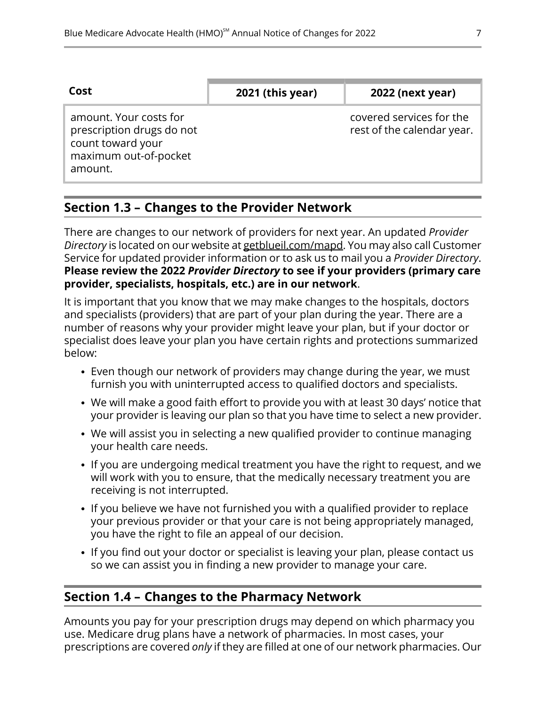| Cost                                                                                                         | 2021 (this year) | <b>2022 (next year)</b>                                |
|--------------------------------------------------------------------------------------------------------------|------------------|--------------------------------------------------------|
| amount. Your costs for<br>prescription drugs do not<br>count toward your<br>maximum out-of-pocket<br>amount. |                  | covered services for the<br>rest of the calendar year. |
|                                                                                                              |                  |                                                        |

# <span id="page-9-0"></span>**Section 1.3 – Changes to the Provider Network**

There are changes to our network of providers for next year. An updated *Provider Directory* is located on our website at [getblueil.com/mapd.](https://www.bcbsil.com/medicare/blue-cross-medicare-options/mapd) You may also call Customer Service for updated provider information or to ask us to mail you a *Provider Directory*. **Please review the 2022** *Provider Directory* **to see if your providers (primary care provider, specialists, hospitals, etc.) are in our network**.

It is important that you know that we may make changes to the hospitals, doctors and specialists (providers) that are part of your plan during the year. There are a number of reasons why your provider might leave your plan, but if your doctor or specialist does leave your plan you have certain rights and protections summarized below:

- Even though our network of providers may change during the year, we must furnish you with uninterrupted access to qualified doctors and specialists.
- We will make a good faith effort to provide you with at least 30 days' notice that your provider is leaving our plan so that you have time to select a new provider.
- We will assist you in selecting a new qualified provider to continue managing your health care needs.
- If you are undergoing medical treatment you have the right to request, and we will work with you to ensure, that the medically necessary treatment you are receiving is not interrupted.
- If you believe we have not furnished you with a qualified provider to replace your previous provider or that your care is not being appropriately managed, you have the right to file an appeal of our decision.
- <span id="page-9-1"></span>• If you find out your doctor or specialist is leaving your plan, please contact us so we can assist you in finding a new provider to manage your care.

## **Section 1.4 – Changes to the Pharmacy Network**

l

Amounts you pay for your prescription drugs may depend on which pharmacy you use. Medicare drug plans have a network of pharmacies. In most cases, your prescriptions are covered *only* if they are filled at one of our network pharmacies. Our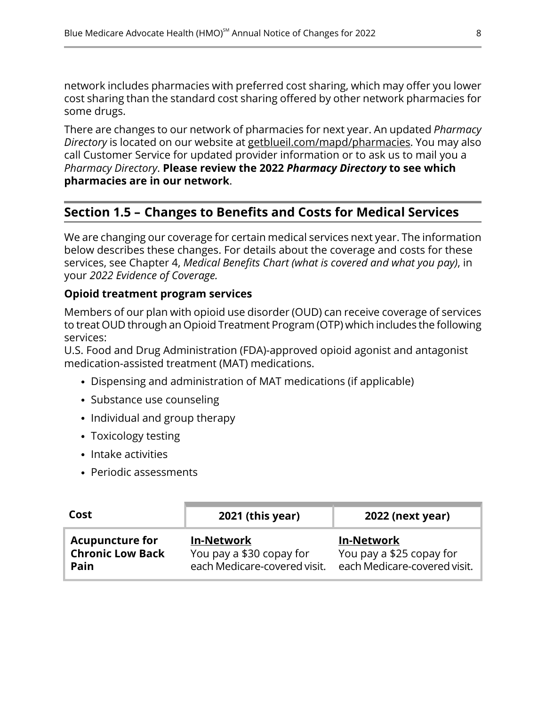network includes pharmacies with preferred cost sharing, which may offer you lower cost sharing than the standard cost sharing offered by other network pharmacies for some drugs.

There are changes to our network of pharmacies for next year. An updated *Pharmacy Directory* is located on our website at [getblueil.com/mapd/pharmacies](https://www.bcbsil.com/medicare/blue-cross-medicare-options/mapd/using-your-plan/pharmacies). You may also call Customer Service for updated provider information or to ask us to mail you a *Pharmacy Directory*. **Please review the 2022** *Pharmacy Directory* **to see which pharmacies are in our network**.

# **Section 1.5 – Changes to Benefits and Costs for Medical Services**

We are changing our coverage for certain medical services next year. The information below describes these changes. For details about the coverage and costs for these services, see Chapter 4, *Medical Benefits Chart (what is covered and what you pay)*, in your *2022 Evidence of Coverage.*

### **Opioid treatment program services**

Members of our plan with opioid use disorder (OUD) can receive coverage of services to treat OUD through an Opioid Treatment Program (OTP) which includes the following services:

U.S. Food and Drug Administration (FDA)-approved opioid agonist and antagonist medication-assisted treatment (MAT) medications.

- Dispensing and administration of MAT medications (if applicable)
- Substance use counseling
- Individual and group therapy
- Toxicology testing
- Intake activities

<span id="page-10-0"></span>l

Periodic assessments

| Cost                    | 2021 (this year)             | <b>2022 (next year)</b>      |
|-------------------------|------------------------------|------------------------------|
| <b>Acupuncture for</b>  | <b>In-Network</b>            | <b>In-Network</b>            |
| <b>Chronic Low Back</b> | You pay a \$30 copay for     | You pay a \$25 copay for     |
| Pain                    | each Medicare-covered visit. | each Medicare-covered visit. |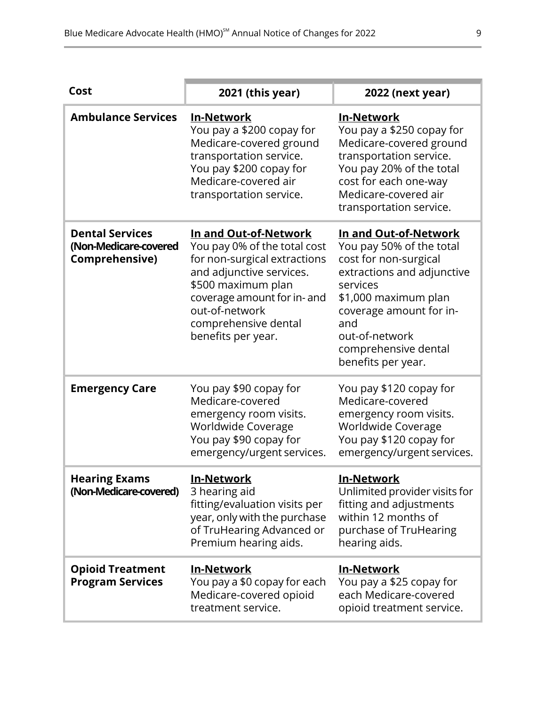| Cost                                                              | 2021 (this year)                                                                                                                                                                                                                       | 2022 (next year)                                                                                                                                                                                                                               |
|-------------------------------------------------------------------|----------------------------------------------------------------------------------------------------------------------------------------------------------------------------------------------------------------------------------------|------------------------------------------------------------------------------------------------------------------------------------------------------------------------------------------------------------------------------------------------|
| <b>Ambulance Services</b>                                         | <b>In-Network</b><br>You pay a \$200 copay for<br>Medicare-covered ground<br>transportation service.<br>You pay \$200 copay for<br>Medicare-covered air<br>transportation service.                                                     | <b>In-Network</b><br>You pay a \$250 copay for<br>Medicare-covered ground<br>transportation service.<br>You pay 20% of the total<br>cost for each one-way<br>Medicare-covered air<br>transportation service.                                   |
| <b>Dental Services</b><br>(Non-Medicare-covered<br>Comprehensive) | In and Out-of-Network<br>You pay 0% of the total cost<br>for non-surgical extractions<br>and adjunctive services.<br>\$500 maximum plan<br>coverage amount for in- and<br>out-of-network<br>comprehensive dental<br>benefits per year. | In and Out-of-Network<br>You pay 50% of the total<br>cost for non-surgical<br>extractions and adjunctive<br>services<br>\$1,000 maximum plan<br>coverage amount for in-<br>and<br>out-of-network<br>comprehensive dental<br>benefits per year. |
| <b>Emergency Care</b>                                             | You pay \$90 copay for<br>Medicare-covered<br>emergency room visits.<br>Worldwide Coverage<br>You pay \$90 copay for<br>emergency/urgent services.                                                                                     | You pay \$120 copay for<br>Medicare-covered<br>emergency room visits.<br>Worldwide Coverage<br>You pay \$120 copay for<br>emergency/urgent services.                                                                                           |
| <b>Hearing Exams</b><br>(Non-Medicare-covered)                    | <u>In-Network</u><br>3 hearing aid<br>fitting/evaluation visits per<br>year, only with the purchase<br>of TruHearing Advanced or<br>Premium hearing aids.                                                                              | <b>In-Network</b><br>Unlimited provider visits for<br>fitting and adjustments<br>within 12 months of<br>purchase of TruHearing<br>hearing aids.                                                                                                |
| <b>Opioid Treatment</b><br><b>Program Services</b>                | <b>In-Network</b><br>You pay a \$0 copay for each<br>Medicare-covered opioid<br>treatment service.                                                                                                                                     | <b>In-Network</b><br>You pay a \$25 copay for<br>each Medicare-covered<br>opioid treatment service.                                                                                                                                            |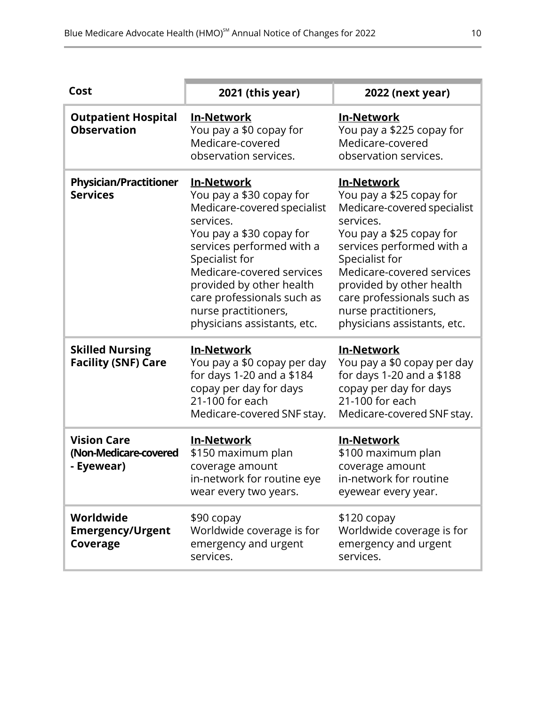| Cost                                                      | 2021 (this year)                                                                                                                                                                                                                                                                                                   | 2022 (next year)                                                                                                                                                                                                                                                                                                   |
|-----------------------------------------------------------|--------------------------------------------------------------------------------------------------------------------------------------------------------------------------------------------------------------------------------------------------------------------------------------------------------------------|--------------------------------------------------------------------------------------------------------------------------------------------------------------------------------------------------------------------------------------------------------------------------------------------------------------------|
| <b>Outpatient Hospital</b><br><b>Observation</b>          | <b>In-Network</b><br>You pay a \$0 copay for<br>Medicare-covered<br>observation services.                                                                                                                                                                                                                          | <b>In-Network</b><br>You pay a \$225 copay for<br>Medicare-covered<br>observation services.                                                                                                                                                                                                                        |
| <b>Physician/Practitioner</b><br><b>Services</b>          | <b>In-Network</b><br>You pay a \$30 copay for<br>Medicare-covered specialist<br>services.<br>You pay a \$30 copay for<br>services performed with a<br>Specialist for<br>Medicare-covered services<br>provided by other health<br>care professionals such as<br>nurse practitioners,<br>physicians assistants, etc. | <u>In-Network</u><br>You pay a \$25 copay for<br>Medicare-covered specialist<br>services.<br>You pay a \$25 copay for<br>services performed with a<br>Specialist for<br>Medicare-covered services<br>provided by other health<br>care professionals such as<br>nurse practitioners,<br>physicians assistants, etc. |
| <b>Skilled Nursing</b><br><b>Facility (SNF) Care</b>      | <b>In-Network</b><br>You pay a \$0 copay per day<br>for days 1-20 and a \$184<br>copay per day for days<br>21-100 for each<br>Medicare-covered SNF stay.                                                                                                                                                           | <b>In-Network</b><br>You pay a \$0 copay per day<br>for days 1-20 and a \$188<br>copay per day for days<br>21-100 for each<br>Medicare-covered SNF stay.                                                                                                                                                           |
| <b>Vision Care</b><br>(Non-Medicare-covered<br>- Eyewear) | <b>In-Network</b><br>\$150 maximum plan<br>coverage amount<br>in-network for routine eye<br>wear every two years.                                                                                                                                                                                                  | <b>In-Network</b><br>\$100 maximum plan<br>coverage amount<br>in-network for routine<br>eyewear every year.                                                                                                                                                                                                        |
| Worldwide<br><b>Emergency/Urgent</b><br>Coverage          | \$90 copay<br>Worldwide coverage is for<br>emergency and urgent<br>services.                                                                                                                                                                                                                                       | $$120$ copay<br>Worldwide coverage is for<br>emergency and urgent<br>services.                                                                                                                                                                                                                                     |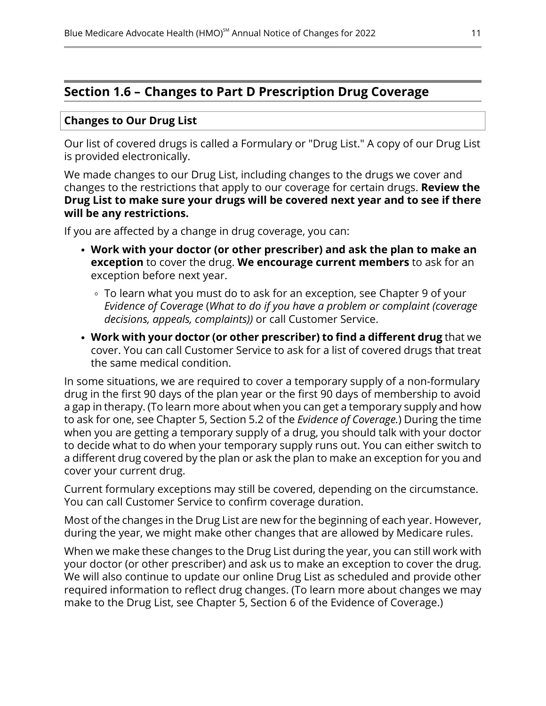# <span id="page-13-0"></span>**Section 1.6 – Changes to Part D Prescription Drug Coverage**

### **Changes to Our Drug List**

Our list of covered drugs is called a Formulary or "Drug List." A copy of our Drug List is provided electronically.

We made changes to our Drug List, including changes to the drugs we cover and changes to the restrictions that apply to our coverage for certain drugs. **Review the Drug List to make sure your drugs will be covered next year and to see if there will be any restrictions.**

If you are affected by a change in drug coverage, you can:

- **Work with your doctor (or other prescriber) and ask the plan to make an exception** to cover the drug. **We encourage current members** to ask for an exception before next year.
	- To learn what you must do to ask for an exception, see Chapter 9 of your *Evidence of Coverage* (*What to do if you have a problem or complaint (coverage decisions, appeals, complaints))* or call Customer Service.
- **Work with your doctor (or other prescriber) to find a different drug** that we cover. You can call Customer Service to ask for a list of covered drugs that treat the same medical condition.

In some situations, we are required to cover a temporary supply of a non-formulary drug in the first 90 days of the plan year or the first 90 days of membership to avoid a gap in therapy. (To learn more about when you can get a temporary supply and how to ask for one, see Chapter 5, Section 5.2 of the *Evidence of Coverage.*) During the time when you are getting a temporary supply of a drug, you should talk with your doctor to decide what to do when your temporary supply runs out. You can either switch to a different drug covered by the plan or ask the plan to make an exception for you and cover your current drug.

Current formulary exceptions may still be covered, depending on the circumstance. You can call Customer Service to confirm coverage duration.

Most of the changes in the Drug List are new for the beginning of each year. However, during the year, we might make other changes that are allowed by Medicare rules.

When we make these changes to the Drug List during the year, you can still work with your doctor (or other prescriber) and ask us to make an exception to cover the drug. We will also continue to update our online Drug List as scheduled and provide other required information to reflect drug changes. (To learn more about changes we may make to the Drug List, see Chapter 5, Section 6 of the Evidence of Coverage.)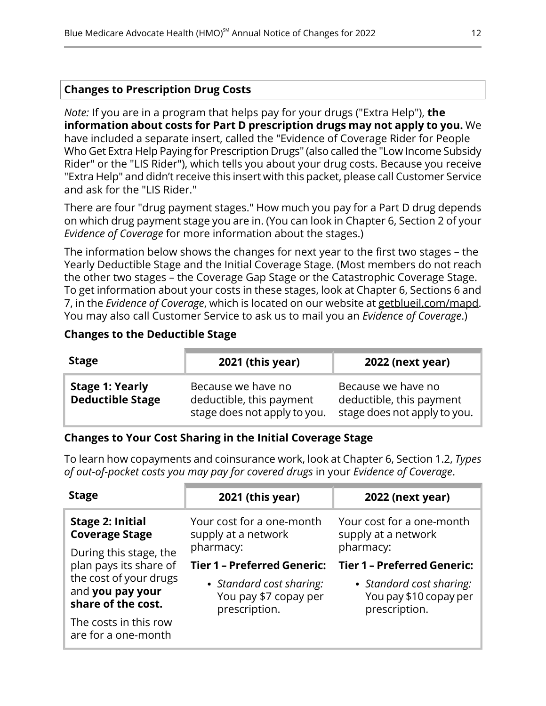### **Changes to Prescription Drug Costs**

*Note:* If you are in a program that helps pay for your drugs ("Extra Help"), **the information about costs for Part D prescription drugs may not apply to you.** We have included a separate insert, called the "Evidence of Coverage Rider for People Who Get Extra Help Paying for Prescription Drugs" (also called the "Low Income Subsidy Rider" or the "LIS Rider"), which tells you about your drug costs. Because you receive "Extra Help" and didn't receive this insert with this packet, please call Customer Service and ask for the "LIS Rider."

There are four "drug payment stages." How much you pay for a Part D drug depends on which drug payment stage you are in. (You can look in Chapter 6, Section 2 of your *Evidence of Coverage* for more information about the stages.)

The information below shows the changes for next year to the first two stages – the Yearly Deductible Stage and the Initial Coverage Stage. (Most members do not reach the other two stages – the Coverage Gap Stage or the Catastrophic Coverage Stage. To get information about your costs in these stages, look at Chapter 6, Sections 6 and 7, in the *Evidence of Coverage*, which is located on our website at [getblueil.com/mapd.](https://www.bcbsil.com/medicare/blue-cross-medicare-options/mapd) You may also call Customer Service to ask us to mail you an *Evidence of Coverage*.)

### **Changes to the Deductible Stage**

| <b>Stage</b>                                      | 2021 (this year)                                                               | <b>2022 (next year)</b>                                                        |
|---------------------------------------------------|--------------------------------------------------------------------------------|--------------------------------------------------------------------------------|
| <b>Stage 1: Yearly</b><br><b>Deductible Stage</b> | Because we have no<br>deductible, this payment<br>stage does not apply to you. | Because we have no<br>deductible, this payment<br>stage does not apply to you. |

### **Changes to Your Cost Sharing in the Initial Coverage Stage**

To learn how copayments and coinsurance work, look at Chapter 6, Section 1.2, *Types of out-of-pocket costs you may pay for covered drugs* in your *Evidence of Coverage*.

| <b>Stage</b>                                                     | 2021 (this year)                                                   | <b>2022 (next year)</b>                                             |
|------------------------------------------------------------------|--------------------------------------------------------------------|---------------------------------------------------------------------|
| <b>Stage 2: Initial</b><br><b>Coverage Stage</b>                 | Your cost for a one-month<br>supply at a network                   | Your cost for a one-month<br>supply at a network                    |
| During this stage, the                                           | pharmacy:                                                          | pharmacy:                                                           |
| plan pays its share of                                           | <b>Tier 1 - Preferred Generic:</b>                                 | <b>Tier 1 - Preferred Generic:</b>                                  |
| the cost of your drugs<br>and you pay your<br>share of the cost. | • Standard cost sharing:<br>You pay \$7 copay per<br>prescription. | • Standard cost sharing:<br>You pay \$10 copay per<br>prescription. |
| The costs in this row<br>are for a one-month                     |                                                                    |                                                                     |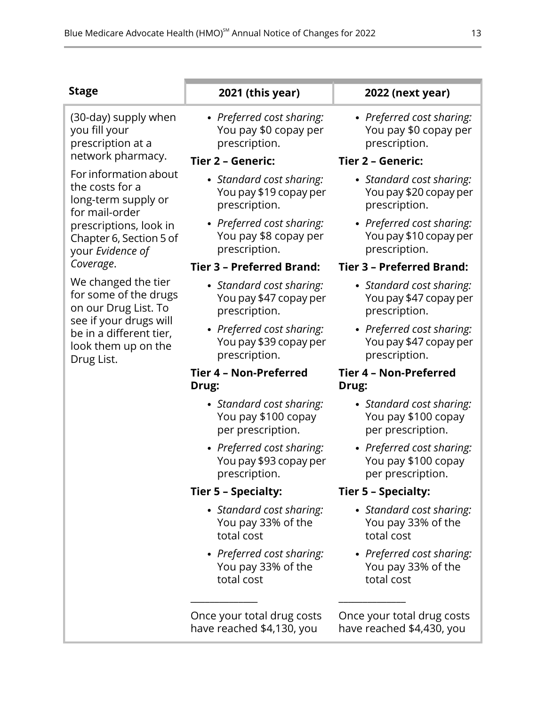| 1 |
|---|
|---|

(30-day) supply when you fill your prescription at a **prescription**. network pharmacy. **Tier <sup>2</sup> – Generic: Tier <sup>2</sup> – Generic:**

For information about the costs for a long-term supply or prescription. for mail-order prescriptions, look in Chapter 6, Section 5 of your *Evidence of* 

We changed the tier for some of the drugs on our Drug List. To prescription. see if your drugs will be in a different tier, look them up on the Drug List.

*Preferred cost sharing:* You pay \$0 copay per

- *Standard cost sharing:* You pay \$19 copay per
- *Preferred cost sharing:* You pay \$8 copay per prescription.

### *Coverage*. **Tier 3 – Preferred Brand: Tier 3 – Preferred Brand:**

- *Standard cost sharing:* You pay \$47 copay per
- *Preferred cost sharing:* You pay \$39 copay per prescription.

### **Tier 4 – Non-Preferred Drug:**

- *Standard cost sharing:* You pay \$100 copay per prescription.
- *Preferred cost sharing:* You pay \$93 copay per prescription.

### **Tier 5 – Specialty: Tier 5 – Specialty:**

- *Standard cost sharing:* You pay 33% of the total cost
- *Preferred cost sharing:* You pay 33% of the total cost

\_\_\_\_\_\_\_\_\_\_\_\_\_\_ \_\_\_\_\_\_\_\_\_\_\_\_\_\_

Once your total drug costs have reached \$4,130, you

### **Stage 2021 (this year) 2022 (next year)**

*Preferred cost sharing:* You pay \$0 copay per prescription.

- *Standard cost sharing:* You pay \$20 copay per prescription.
- *Preferred cost sharing:* You pay \$10 copay per prescription.

- *Standard cost sharing:* You pay \$47 copay per prescription.
- *Preferred cost sharing:* You pay \$47 copay per prescription.

### **Tier 4 – Non-Preferred Drug:**

- *Standard cost sharing:* You pay \$100 copay per prescription.
- *Preferred cost sharing:* You pay \$100 copay per prescription.

- *Standard cost sharing:* You pay 33% of the total cost
- *Preferred cost sharing:* You pay 33% of the total cost

Once your total drug costs have reached \$4,430, you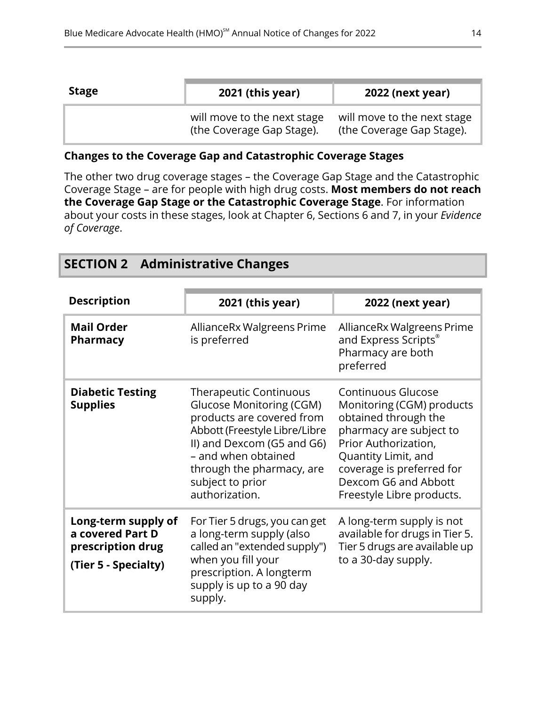| <b>Stage</b> | 2021 (this year)                                         | <b>2022 (next year)</b>                                  |
|--------------|----------------------------------------------------------|----------------------------------------------------------|
|              | will move to the next stage<br>(the Coverage Gap Stage). | will move to the next stage<br>(the Coverage Gap Stage). |

### **Changes to the Coverage Gap and Catastrophic Coverage Stages**

The other two drug coverage stages – the Coverage Gap Stage and the Catastrophic Coverage Stage – are for people with high drug costs. **Most members do not reach the Coverage Gap Stage or the Catastrophic Coverage Stage**. For information about your costs in these stages, look at Chapter 6, Sections 6 and 7, in your *Evidence of Coverage*.

<span id="page-16-0"></span>

|  | <b>SECTION 2 Administrative Changes</b> |  |
|--|-----------------------------------------|--|
|--|-----------------------------------------|--|

| <b>Description</b>                                                                   | 2021 (this year)                                                                                                                                                                                                                                | 2022 (next year)                                                                                                                                                                                                                           |
|--------------------------------------------------------------------------------------|-------------------------------------------------------------------------------------------------------------------------------------------------------------------------------------------------------------------------------------------------|--------------------------------------------------------------------------------------------------------------------------------------------------------------------------------------------------------------------------------------------|
| <b>Mail Order</b><br><b>Pharmacy</b>                                                 | AllianceRx Walgreens Prime<br>is preferred                                                                                                                                                                                                      | Alliance Rx Walgreens Prime<br>and Express Scripts®<br>Pharmacy are both<br>preferred                                                                                                                                                      |
| <b>Diabetic Testing</b><br><b>Supplies</b>                                           | <b>Therapeutic Continuous</b><br>Glucose Monitoring (CGM)<br>products are covered from<br>Abbott (Freestyle Libre/Libre<br>II) and Dexcom (G5 and G6)<br>- and when obtained<br>through the pharmacy, are<br>subject to prior<br>authorization. | <b>Continuous Glucose</b><br>Monitoring (CGM) products<br>obtained through the<br>pharmacy are subject to<br>Prior Authorization,<br>Quantity Limit, and<br>coverage is preferred for<br>Dexcom G6 and Abbott<br>Freestyle Libre products. |
| Long-term supply of<br>a covered Part D<br>prescription drug<br>(Tier 5 - Specialty) | For Tier 5 drugs, you can get<br>a long-term supply (also<br>called an "extended supply")<br>when you fill your<br>prescription. A longterm<br>supply is up to a 90 day<br>supply.                                                              | A long-term supply is not<br>available for drugs in Tier 5.<br>Tier 5 drugs are available up<br>to a 30-day supply.                                                                                                                        |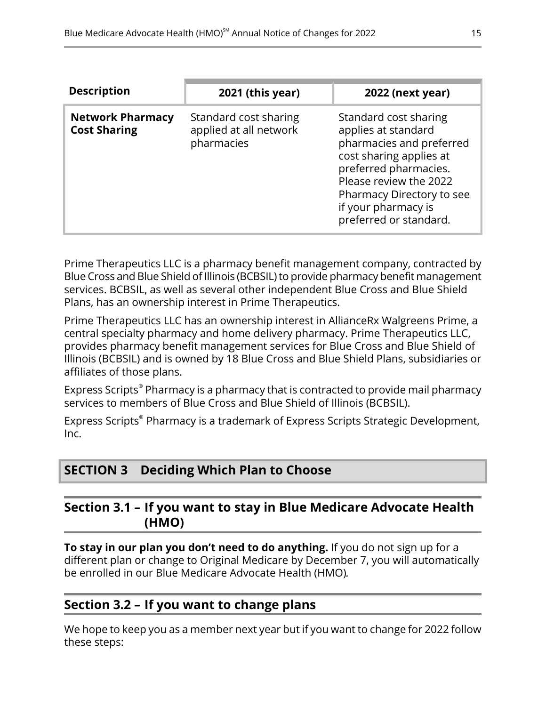| <b>Description</b>                             | 2021 (this year)                                              | <b>2022 (next year)</b>                                                                                                                                                                                                              |
|------------------------------------------------|---------------------------------------------------------------|--------------------------------------------------------------------------------------------------------------------------------------------------------------------------------------------------------------------------------------|
| <b>Network Pharmacy</b><br><b>Cost Sharing</b> | Standard cost sharing<br>applied at all network<br>pharmacies | Standard cost sharing<br>applies at standard<br>pharmacies and preferred<br>cost sharing applies at<br>preferred pharmacies.<br>Please review the 2022<br>Pharmacy Directory to see<br>if your pharmacy is<br>preferred or standard. |

Prime Therapeutics LLC is a pharmacy benefit management company, contracted by Blue Cross and Blue Shield of Illinois (BCBSIL) to provide pharmacy benefit management services. BCBSIL, as well as several other independent Blue Cross and Blue Shield Plans, has an ownership interest in Prime Therapeutics.

Prime Therapeutics LLC has an ownership interest in AllianceRx Walgreens Prime, a central specialty pharmacy and home delivery pharmacy. Prime Therapeutics LLC, provides pharmacy benefit management services for Blue Cross and Blue Shield of Illinois (BCBSIL) and is owned by 18 Blue Cross and Blue Shield Plans, subsidiaries or affiliates of those plans.

Express Scripts® Pharmacy is a pharmacy that is contracted to provide mail pharmacy services to members of Blue Cross and Blue Shield of Illinois (BCBSIL).

<span id="page-17-1"></span>Express Scripts® Pharmacy is a trademark of Express Scripts Strategic Development, Inc.

# <span id="page-17-2"></span>**SECTION 3 Deciding Which Plan to Choose**

### **Section 3.1 – If you want to stay in Blue Medicare Advocate Health (HMO)**

<span id="page-17-0"></span>**To stay in our plan you don't need to do anything.** If you do not sign up for a different plan or change to Original Medicare by December 7, you will automatically be enrolled in our Blue Medicare Advocate Health (HMO)*.*

# **Section 3.2 – If you want to change plans**

l

We hope to keep you as a member next year but if you want to change for 2022 follow these steps: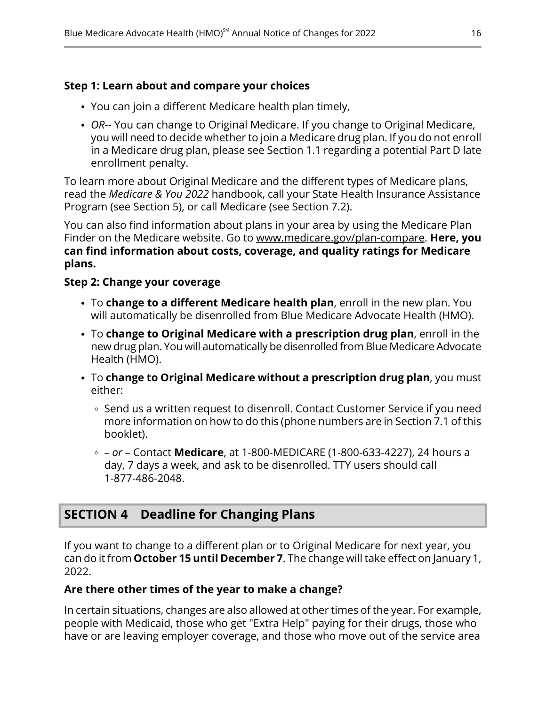### **Step 1: Learn about and compare your choices**

- You can join a different Medicare health plan timely,
- *OR*-- You can change to Original Medicare. If you change to Original Medicare, you will need to decide whether to join a Medicare drug plan. If you do not enroll in a Medicare drug plan, please see Section [1.1](#page-8-0) regarding a potential Part D late enrollment penalty.

To learn more about Original Medicare and the different types of Medicare plans, read the *Medicare & You 2022* handbook, call your State Health Insurance Assistance Program (see Section [5](#page-19-0)), or call Medicare (see Section [7.2\)](#page-21-0).

You can also find information about plans in your area by using the Medicare Plan Finder on the Medicare website. Go to [www.medicare.gov/plan-compare](http://www.medicare.gov/plan-compare). **Here, you can find information about costs, coverage, and quality ratings for Medicare plans.**

### **Step 2: Change your coverage**

- To **change to a different Medicare health plan**, enroll in the new plan. You will automatically be disenrolled from Blue Medicare Advocate Health (HMO).
- To **change to Original Medicare with a prescription drug plan**, enroll in the new drug plan. You will automatically be disenrolled from Blue Medicare Advocate Health (HMO).
- To **change to Original Medicare without a prescription drug plan**, you must either:
	- ∘ Send us a written request to disenroll. Contact Customer Service if you need more information on how to do this (phone numbers are in Section [7.1](#page-20-1) of this booklet).
	- *– or –* Contact **Medicare**, at 1-800-MEDICARE (1-800-633-4227), 24 hours a day, 7 days a week, and ask to be disenrolled. TTY users should call 1-877-486-2048.

# <span id="page-18-0"></span>**SECTION 4 Deadline for Changing Plans**

If you want to change to a different plan or to Original Medicare for next year, you can do it from **October 15 until December 7**. The change will take effect on January 1, 2022.

### **Are there other times of the year to make a change?**

In certain situations, changes are also allowed at other times of the year. For example, people with Medicaid, those who get "Extra Help" paying for their drugs, those who have or are leaving employer coverage, and those who move out of the service area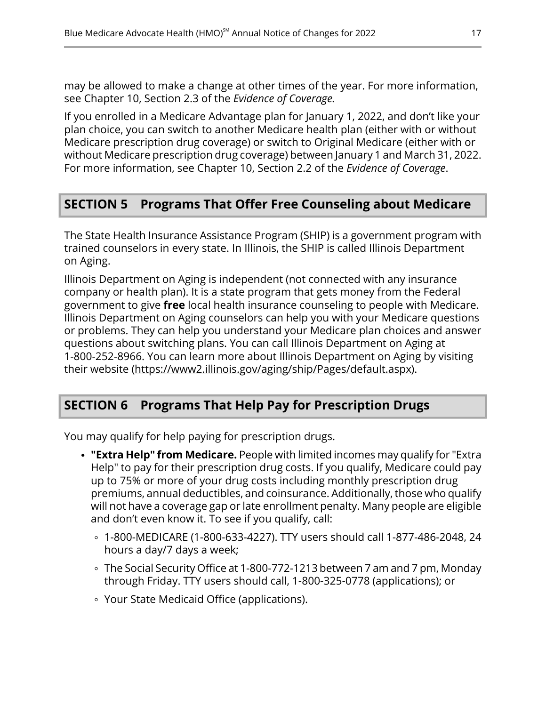may be allowed to make a change at other times of the year. For more information, see Chapter 10, Section 2.3 of the *Evidence of Coverage.*

If you enrolled in a Medicare Advantage plan for January 1, 2022, and don't like your plan choice, you can switch to another Medicare health plan (either with or without Medicare prescription drug coverage) or switch to Original Medicare (either with or without Medicare prescription drug coverage) between January 1 and March 31, 2022. For more information, see Chapter 10, Section 2.2 of the *Evidence of Coverage*.

# <span id="page-19-0"></span>**SECTION 5 Programs That Offer Free Counseling about Medicare**

The State Health Insurance Assistance Program (SHIP) is a government program with trained counselors in every state. In Illinois, the SHIP is called Illinois Department on Aging.

Illinois Department on Aging is independent (not connected with any insurance company or health plan). It is a state program that gets money from the Federal government to give **free** local health insurance counseling to people with Medicare. Illinois Department on Aging counselors can help you with your Medicare questions or problems. They can help you understand your Medicare plan choices and answer questions about switching plans. You can call Illinois Department on Aging at 1-800-252-8966. You can learn more about Illinois Department on Aging by visiting their website [\(https://www2.illinois.gov/aging/ship/Pages/default.aspx](https://www2.illinois.gov/aging/ship/Pages/default.aspx)).

# <span id="page-19-1"></span>**SECTION 6 Programs That Help Pay for Prescription Drugs**

You may qualify for help paying for prescription drugs.

- **"Extra Help" from Medicare.** People with limited incomes may qualify for "Extra Help" to pay for their prescription drug costs. If you qualify, Medicare could pay up to 75% or more of your drug costs including monthly prescription drug premiums, annual deductibles, and coinsurance. Additionally, those who qualify will not have a coverage gap or late enrollment penalty. Many people are eligible and don't even know it. To see if you qualify, call:
	- 1-800-MEDICARE (1-800-633-4227). TTY users should call 1-877-486-2048, 24 hours a day/7 days a week;
	- The Social Security Office at 1-800-772-1213 between 7 am and 7 pm, Monday through Friday. TTY users should call, 1-800-325-0778 (applications); or
	- Your State Medicaid Office (applications).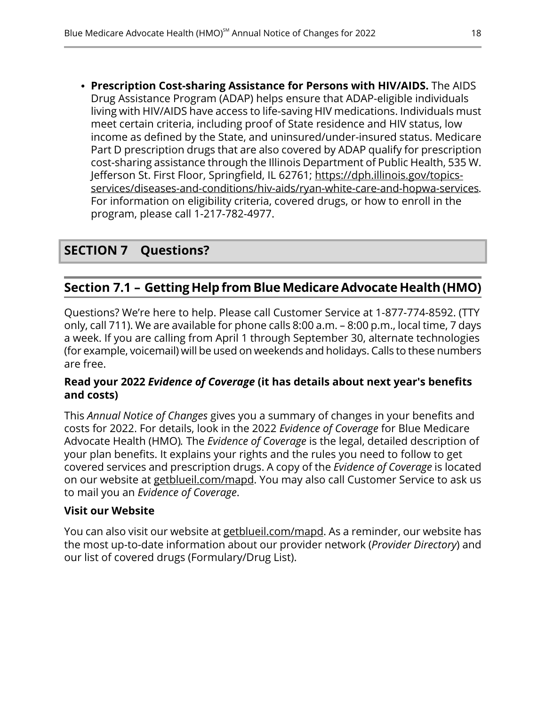**Prescription Cost-sharing Assistance for Persons with HIV/AIDS.** The AIDS Drug Assistance Program (ADAP) helps ensure that ADAP-eligible individuals living with HIV/AIDS have access to life-saving HIV medications. Individuals must meet certain criteria, including proof of State residence and HIV status, low income as defined by the State, and uninsured/under-insured status. Medicare Part D prescription drugs that are also covered by ADAP qualify for prescription cost-sharing assistance through the Illinois Department of Public Health, 535 W. Jefferson St. First Floor, Springfield, IL 62761; [https://dph.illinois.gov/topics](https://dph.illinois.gov/topics-services/diseases-and-conditions/hiv-aids/ryan-white-care-and-hopwa-services) [services/diseases-and-conditions/hiv-aids/ryan-white-care-and-hopwa-services.](https://dph.illinois.gov/topics-services/diseases-and-conditions/hiv-aids/ryan-white-care-and-hopwa-services) For information on eligibility criteria, covered drugs, or how to enroll in the program, please call 1-217-782-4977.

# <span id="page-20-1"></span><span id="page-20-0"></span>**SECTION 7 Questions?**

### **Section 7.1 – Getting Help fromBlue MedicareAdvocate Health(HMO)**

Questions? We're here to help. Please call Customer Service at 1-877-774-8592. (TTY only, call 711). We are available for phone calls 8:00 a.m. – 8:00 p.m., local time, 7 days a week. If you are calling from April 1 through September 30, alternate technologies (for example, voicemail) will be used on weekends and holidays. Calls to these numbers are free.

### **Read your 2022** *Evidence of Coverage* **(it has details about next year's benefits and costs)**

This *Annual Notice of Changes* gives you a summary of changes in your benefits and costs for 2022. For details, look in the 2022 *Evidence of Coverage* for Blue Medicare Advocate Health (HMO)*.* The *Evidence of Coverage* is the legal, detailed description of your plan benefits. It explains your rights and the rules you need to follow to get covered services and prescription drugs. A copy of the *Evidence of Coverage* is located on our website at [getblueil.com/mapd.](https://www.bcbsil.com/medicare/blue-cross-medicare-options/mapd) You may also call Customer Service to ask us to mail you an *Evidence of Coverage*.

### **Visit our Website**

You can also visit our website at [getblueil.com/mapd.](https://www.bcbsil.com/medicare/blue-cross-medicare-options/mapd) As a reminder, our website has the most up-to-date information about our provider network (*Provider Directory*) and our list of covered drugs (Formulary/Drug List).